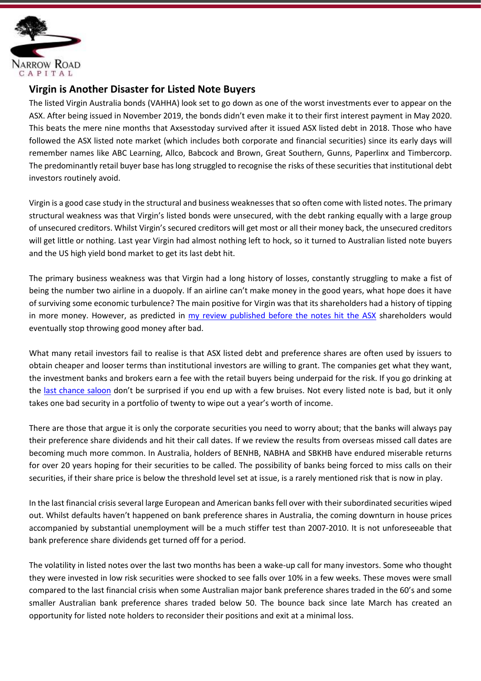

## **Virgin is Another Disaster for Listed Note Buyers**

The listed Virgin Australia bonds (VAHHA) look set to go down as one of the worst investments ever to appear on the ASX. After being issued in November 2019, the bonds didn't even make it to their first interest payment in May 2020. This beats the mere nine months that Axsesstoday survived after it issued ASX listed debt in 2018. Those who have followed the ASX listed note market (which includes both corporate and financial securities) since its early days will remember names like ABC Learning, Allco, Babcock and Brown, Great Southern, Gunns, Paperlinx and Timbercorp. The predominantly retail buyer base has long struggled to recognise the risks of these securities that institutional debt investors routinely avoid.

Virgin is a good case study in the structural and business weaknesses that so often come with listed notes. The primary structural weakness was that Virgin's listed bonds were unsecured, with the debt ranking equally with a large group of unsecured creditors. Whilst Virgin's secured creditors will get most or all their money back, the unsecured creditors will get little or nothing. Last year Virgin had almost nothing left to hock, so it turned to Australian listed note buyers and the US high yield bond market to get its last debt hit.

The primary business weakness was that Virgin had a long history of losses, constantly struggling to make a fist of being the number two airline in a duopoly. If an airline can't make money in the good years, what hope does it have of surviving some economic turbulence? The main positive for Virgin was that its shareholders had a history of tipping in more money. However, as predicted in my review published before the notes hit the ASX shareholders would eventually stop throwing good money after bad.

What many retail investors fail to realise is that ASX listed debt and preference shares are often used by issuers to obtain cheaper and looser terms than institutional investors are willing to grant. The companies get what they want, the investment banks and brokers earn a fee with the retail buyers being underpaid for the risk. If you go drinking at the last chance saloon don't be surprised if you end up with a few bruises. Not every listed note is bad, but it only takes one bad security in a portfolio of twenty to wipe out a year's worth of income.

There are those that argue it is only the corporate securities you need to worry about; that the banks will always pay their preference share dividends and hit their call dates. If we review the results from overseas missed call dates are becoming much more common. In Australia, holders of BENHB, NABHA and SBKHB have endured miserable returns for over 20 years hoping for their securities to be called. The possibility of banks being forced to miss calls on their securities, if their share price is below the threshold level set at issue, is a rarely mentioned risk that is now in play.

In the last financial crisis several large European and American banks fell over with their subordinated securities wiped out. Whilst defaults haven't happened on bank preference shares in Australia, the coming downturn in house prices accompanied by substantial unemployment will be a much stiffer test than 2007-2010. It is not unforeseeable that bank preference share dividends get turned off for a period.

The volatility in listed notes over the last two months has been a wake-up call for many investors. Some who thought they were invested in low risk securities were shocked to see falls over 10% in a few weeks. These moves were small compared to the last financial crisis when some Australian major bank preference shares traded in the 60's and some smaller Australian bank preference shares traded below 50. The bounce back since late March has created an opportunity for listed note holders to reconsider their positions and exit at a minimal loss.